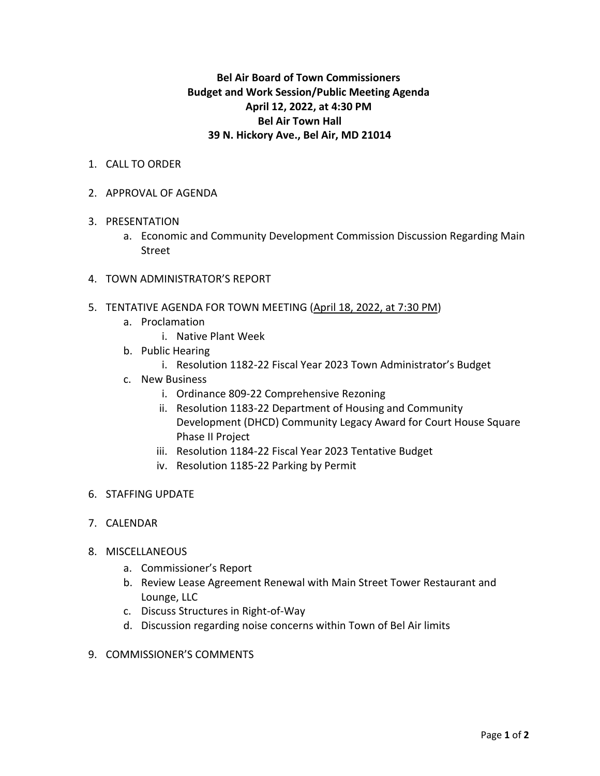## **Bel Air Board of Town Commissioners Budget and Work Session/Public Meeting Agenda April 12, 2022, at 4:30 PM Bel Air Town Hall 39 N. Hickory Ave., Bel Air, MD 21014**

- 1. CALL TO ORDER
- 2. APPROVAL OF AGENDA
- 3. PRESENTATION
	- a. Economic and Community Development Commission Discussion Regarding Main Street
- 4. TOWN ADMINISTRATOR'S REPORT
- 5. TENTATIVE AGENDA FOR TOWN MEETING (April 18, 2022, at 7:30 PM)
	- a. Proclamation
		- i. Native Plant Week
	- b. Public Hearing
		- i. Resolution 1182-22 Fiscal Year 2023 Town Administrator's Budget
	- c. New Business
		- i. Ordinance 809-22 Comprehensive Rezoning
		- ii. Resolution 1183-22 Department of Housing and Community Development (DHCD) Community Legacy Award for Court House Square Phase II Project
		- iii. Resolution 1184-22 Fiscal Year 2023 Tentative Budget
		- iv. Resolution 1185-22 Parking by Permit
- 6. STAFFING UPDATE
- 7. CALENDAR
- 8. MISCELLANEOUS
	- a. Commissioner's Report
	- b. Review Lease Agreement Renewal with Main Street Tower Restaurant and Lounge, LLC
	- c. Discuss Structures in Right-of-Way
	- d. Discussion regarding noise concerns within Town of Bel Air limits
- 9. COMMISSIONER'S COMMENTS